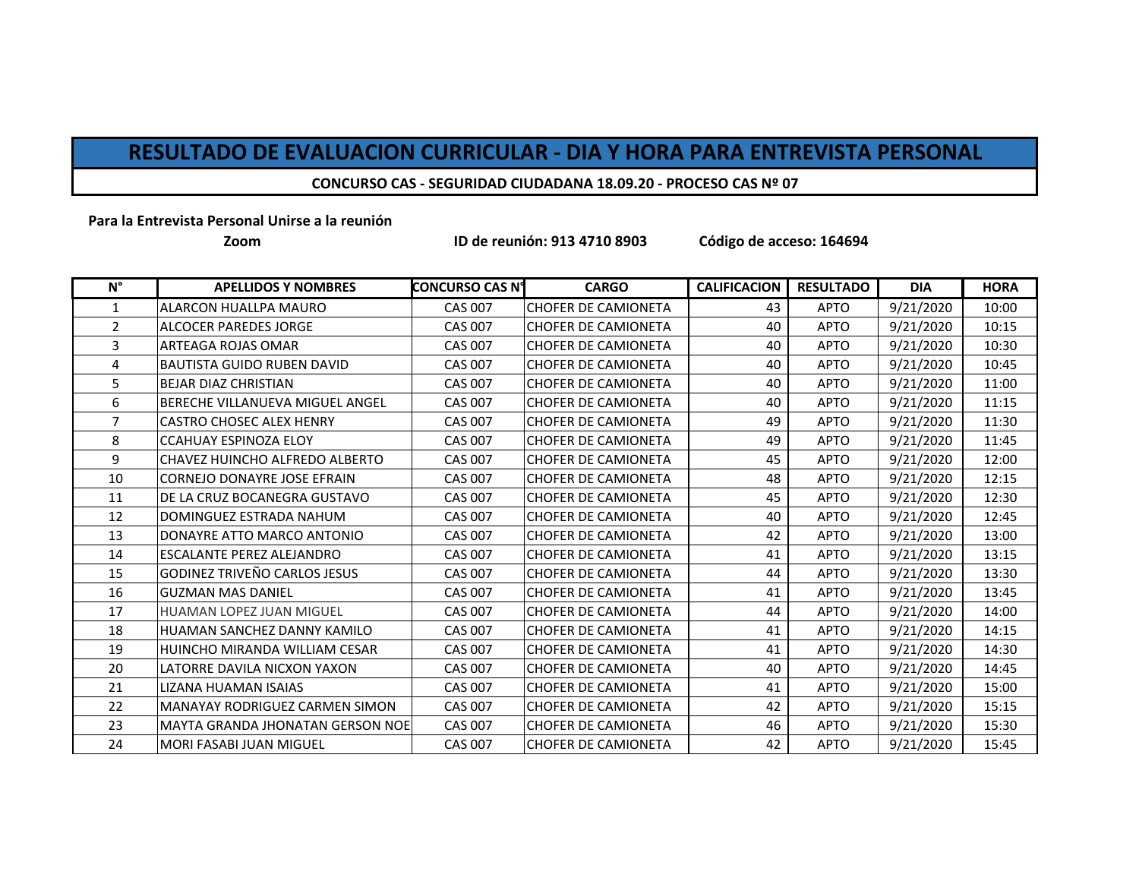## **RESULTADO DE EVALUACION CURRICULAR - DIA Y HORA PARA ENTREVISTA PERSONAL**

## **CONCURSO CAS - SEGURIDAD CIUDADANA 18.09.20 - PROCESO CAS Nº 07**

**Para la Entrevista Personal Unirse a la reunión** 

**Zoom**

**ID de reunión: 913 4710 8903 Código de acceso: 164694**

| $N^{\circ}$    | <b>APELLIDOS Y NOMBRES</b>            | <b>CONCURSO CAS N°</b> | <b>CARGO</b>               | <b>CALIFICACION</b> | <b>RESULTADO</b> | <b>DIA</b> | <b>HORA</b> |
|----------------|---------------------------------------|------------------------|----------------------------|---------------------|------------------|------------|-------------|
| $\mathbf{1}$   | <b>ALARCON HUALLPA MAURO</b>          | <b>CAS 007</b>         | <b>CHOFER DE CAMIONETA</b> | 43                  | <b>APTO</b>      | 9/21/2020  | 10:00       |
| $\overline{2}$ | <b>ALCOCER PAREDES JORGE</b>          | <b>CAS 007</b>         | <b>CHOFER DE CAMIONETA</b> | 40                  | <b>APTO</b>      | 9/21/2020  | 10:15       |
| 3              | <b>ARTEAGA ROJAS OMAR</b>             | <b>CAS 007</b>         | <b>CHOFER DE CAMIONETA</b> | 40                  | <b>APTO</b>      | 9/21/2020  | 10:30       |
| 4              | <b>BAUTISTA GUIDO RUBEN DAVID</b>     | <b>CAS 007</b>         | <b>CHOFER DE CAMIONETA</b> | 40                  | <b>APTO</b>      | 9/21/2020  | 10:45       |
| 5              | <b>BEJAR DIAZ CHRISTIAN</b>           | <b>CAS 007</b>         | <b>CHOFER DE CAMIONETA</b> | 40                  | <b>APTO</b>      | 9/21/2020  | 11:00       |
| 6              | BERECHE VILLANUEVA MIGUEL ANGEL       | <b>CAS 007</b>         | <b>CHOFER DE CAMIONETA</b> | 40                  | <b>APTO</b>      | 9/21/2020  | 11:15       |
| $\overline{7}$ | <b>CASTRO CHOSEC ALEX HENRY</b>       | <b>CAS 007</b>         | <b>CHOFER DE CAMIONETA</b> | 49                  | <b>APTO</b>      | 9/21/2020  | 11:30       |
| 8              | <b>CCAHUAY ESPINOZA ELOY</b>          | <b>CAS 007</b>         | <b>CHOFER DE CAMIONETA</b> | 49                  | <b>APTO</b>      | 9/21/2020  | 11:45       |
| 9              | CHAVEZ HUINCHO ALFREDO ALBERTO        | <b>CAS 007</b>         | <b>CHOFER DE CAMIONETA</b> | 45                  | <b>APTO</b>      | 9/21/2020  | 12:00       |
| 10             | <b>CORNEJO DONAYRE JOSE EFRAIN</b>    | <b>CAS 007</b>         | <b>CHOFER DE CAMIONETA</b> | 48                  | <b>APTO</b>      | 9/21/2020  | 12:15       |
| 11             | DE LA CRUZ BOCANEGRA GUSTAVO          | <b>CAS 007</b>         | <b>CHOFER DE CAMIONETA</b> | 45                  | <b>APTO</b>      | 9/21/2020  | 12:30       |
| 12             | DOMINGUEZ ESTRADA NAHUM               | <b>CAS 007</b>         | <b>CHOFER DE CAMIONETA</b> | 40                  | <b>APTO</b>      | 9/21/2020  | 12:45       |
| 13             | DONAYRE ATTO MARCO ANTONIO            | <b>CAS 007</b>         | <b>CHOFER DE CAMIONETA</b> | 42                  | <b>APTO</b>      | 9/21/2020  | 13:00       |
| 14             | ESCALANTE PEREZ ALEJANDRO             | <b>CAS 007</b>         | <b>CHOFER DE CAMIONETA</b> | 41                  | <b>APTO</b>      | 9/21/2020  | 13:15       |
| 15             | <b>GODINEZ TRIVEÑO CARLOS JESUS</b>   | <b>CAS 007</b>         | <b>CHOFER DE CAMIONETA</b> | 44                  | <b>APTO</b>      | 9/21/2020  | 13:30       |
| 16             | <b>GUZMAN MAS DANIEL</b>              | <b>CAS 007</b>         | <b>CHOFER DE CAMIONETA</b> | 41                  | <b>APTO</b>      | 9/21/2020  | 13:45       |
| 17             | <b>HUAMAN LOPEZ JUAN MIGUEL</b>       | <b>CAS 007</b>         | <b>CHOFER DE CAMIONETA</b> | 44                  | <b>APTO</b>      | 9/21/2020  | 14:00       |
| 18             | HUAMAN SANCHEZ DANNY KAMILO           | <b>CAS 007</b>         | <b>CHOFER DE CAMIONETA</b> | 41                  | <b>APTO</b>      | 9/21/2020  | 14:15       |
| 19             | HUINCHO MIRANDA WILLIAM CESAR         | <b>CAS 007</b>         | <b>CHOFER DE CAMIONETA</b> | 41                  | <b>APTO</b>      | 9/21/2020  | 14:30       |
| 20             | LATORRE DAVILA NICXON YAXON           | <b>CAS 007</b>         | <b>CHOFER DE CAMIONETA</b> | 40                  | <b>APTO</b>      | 9/21/2020  | 14:45       |
| 21             | LIZANA HUAMAN ISAIAS                  | <b>CAS 007</b>         | <b>CHOFER DE CAMIONETA</b> | 41                  | <b>APTO</b>      | 9/21/2020  | 15:00       |
| 22             | <b>MANAYAY RODRIGUEZ CARMEN SIMON</b> | <b>CAS 007</b>         | <b>CHOFER DE CAMIONETA</b> | 42                  | <b>APTO</b>      | 9/21/2020  | 15:15       |
| 23             | MAYTA GRANDA JHONATAN GERSON NOE      | <b>CAS 007</b>         | CHOFER DE CAMIONETA        | 46                  | <b>APTO</b>      | 9/21/2020  | 15:30       |
| 24             | <b>MORI FASABI JUAN MIGUEL</b>        | <b>CAS 007</b>         | <b>CHOFER DE CAMIONETA</b> | 42                  | <b>APTO</b>      | 9/21/2020  | 15:45       |